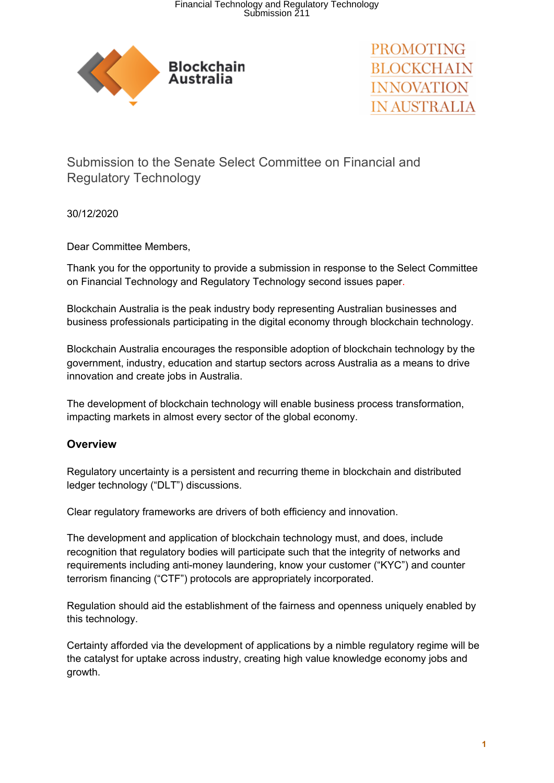

PROMOTING **BLOCKCHAIN INNOVATION** IN AUSTRALIA

Submission to the Senate Select Committee on Financial and Regulatory Technology

30/12/2020

Dear Committee Members,

Thank you for the opportunity to provide a submission in response to the Select Committee on Financial Technology and Regulatory Technology second issues paper.

Blockchain Australia is the peak industry body representing Australian businesses and business professionals participating in the digital economy through blockchain technology.

Blockchain Australia encourages the responsible adoption of blockchain technology by the government, industry, education and startup sectors across Australia as a means to drive innovation and create jobs in Australia.

The development of blockchain technology will enable business process transformation, impacting markets in almost every sector of the global economy.

# **Overview**

Regulatory uncertainty is a persistent and recurring theme in blockchain and distributed ledger technology ("DLT") discussions.

Clear regulatory frameworks are drivers of both efficiency and innovation.

The development and application of blockchain technology must, and does, include recognition that regulatory bodies will participate such that the integrity of networks and requirements including anti-money laundering, know your customer ("KYC") and counter terrorism financing ("CTF") protocols are appropriately incorporated.

Regulation should aid the establishment of the fairness and openness uniquely enabled by this technology.

Certainty afforded via the development of applications by a nimble regulatory regime will be the catalyst for uptake across industry, creating high value knowledge economy jobs and growth.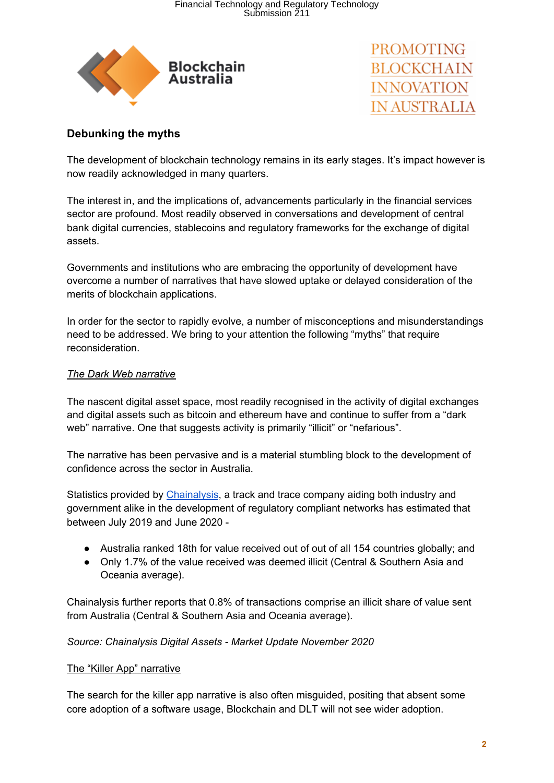



# **Debunking the myths**

The development of blockchain technology remains in its early stages. It's impact however is now readily acknowledged in many quarters.

The interest in, and the implications of, advancements particularly in the financial services sector are profound. Most readily observed in conversations and development of central bank digital currencies, stablecoins and regulatory frameworks for the exchange of digital assets.

Governments and institutions who are embracing the opportunity of development have overcome a number of narratives that have slowed uptake or delayed consideration of the merits of blockchain applications.

In order for the sector to rapidly evolve, a number of misconceptions and misunderstandings need to be addressed. We bring to your attention the following "myths" that require reconsideration.

#### *The Dark Web narrative*

The nascent digital asset space, most readily recognised in the activity of digital exchanges and digital assets such as bitcoin and ethereum have and continue to suffer from a "dark web" narrative. One that suggests activity is primarily "illicit" or "nefarious".

The narrative has been pervasive and is a material stumbling block to the development of confidence across the sector in Australia.

Statistics provided by [Chainalysis](https://www.chainalysis.com/), a track and trace company aiding both industry and government alike in the development of regulatory compliant networks has estimated that between July 2019 and June 2020 -

- Australia ranked 18th for value received out of out of all 154 countries globally; and
- Only 1.7% of the value received was deemed illicit (Central & Southern Asia and Oceania average).

Chainalysis further reports that 0.8% of transactions comprise an illicit share of value sent from Australia (Central & Southern Asia and Oceania average).

### *Source: Chainalysis Digital Assets - Market Update November 2020*

#### The "Killer App" narrative

The search for the killer app narrative is also often misguided, positing that absent some core adoption of a software usage, Blockchain and DLT will not see wider adoption.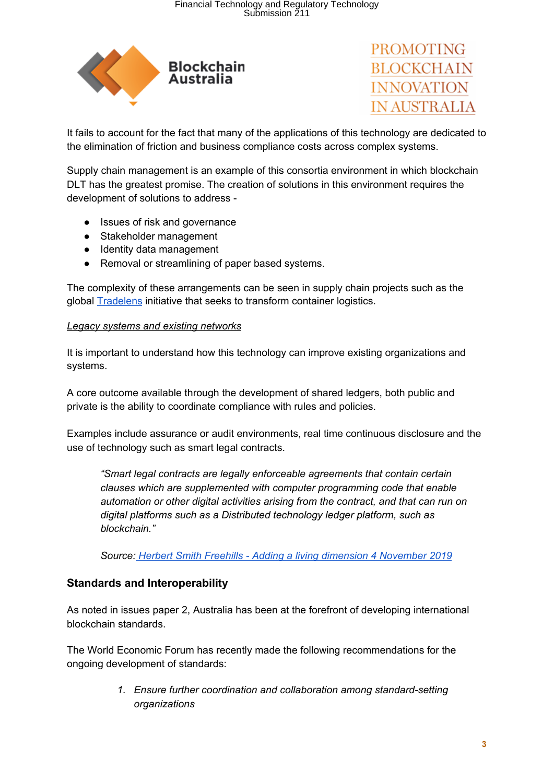



It fails to account for the fact that many of the applications of this technology are dedicated to the elimination of friction and business compliance costs across complex systems.

Supply chain management is an example of this consortia environment in which blockchain DLT has the greatest promise. The creation of solutions in this environment requires the development of solutions to address -

- Issues of risk and governance
- Stakeholder management
- Identity data management
- Removal or streamlining of paper based systems.

The complexity of these arrangements can be seen in supply chain projects such as the global **[Tradelens](https://www.tradelens.com/)** initiative that seeks to transform container logistics.

#### *Legacy systems and existing networks*

It is important to understand how this technology can improve existing organizations and systems.

A core outcome available through the development of shared ledgers, both public and private is the ability to coordinate compliance with rules and policies.

Examples include assurance or audit environments, real time continuous disclosure and the use of technology such as smart legal contracts.

*"Smart legal contracts are legally enforceable agreements that contain certain clauses which are supplemented with computer programming code that enable automation or other digital activities arising from the contract, and that can run on digital platforms such as a Distributed technology ledger platform, such as blockchain."*

*Source: Herbert Smith Freehills - Adding a living dimension 4 [November](https://www.herbertsmithfreehills.com/latest-thinking/adding-a-living-dimension-%E2%80%93-smart-legal-contracts-as-business-tools) 2019*

# **Standards and Interoperability**

As noted in issues paper 2, Australia has been at the forefront of developing international blockchain standards.

The World Economic Forum has recently made the following recommendations for the ongoing development of standards:

> *1. Ensure further coordination and collaboration among standard-setting organizations*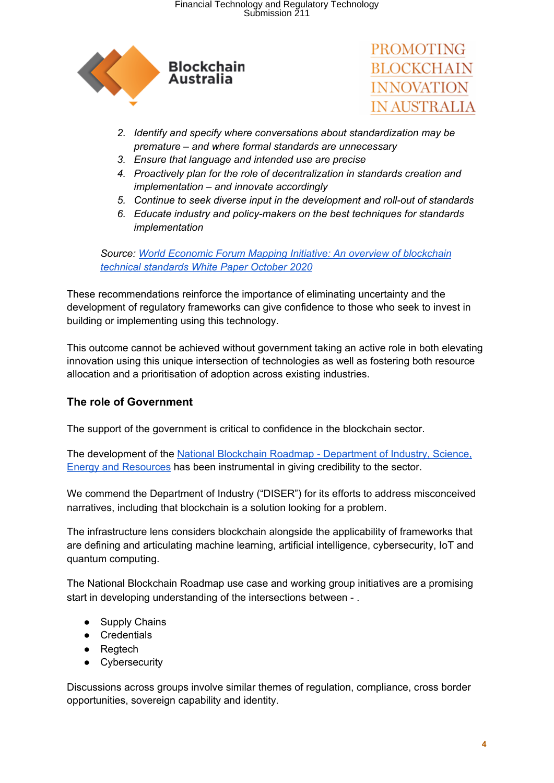



- *2. Identify and specify where conversations about standardization may be premature – and where formal standards are unnecessary*
- *3. Ensure that language and intended use are precise*
- *4. Proactively plan for the role of decentralization in standards creation and implementation – and innovate accordingly*
- *5. Continue to seek diverse input in the development and roll-out of standards*
- *6. Educate industry and policy-makers on the best techniques for standards implementation*

*Source: World Economic Forum Mapping Initiative: An overview of [blockchain](http://www3.weforum.org/docs/WEF_GSMI_Technical_Standards_2020.pdf) technical [standards](http://www3.weforum.org/docs/WEF_GSMI_Technical_Standards_2020.pdf) White Paper October 2020*

These recommendations reinforce the importance of eliminating uncertainty and the development of regulatory frameworks can give confidence to those who seek to invest in building or implementing using this technology.

This outcome cannot be achieved without government taking an active role in both elevating innovation using this unique intersection of technologies as well as fostering both resource allocation and a prioritisation of adoption across existing industries.

# **The role of Government**

The support of the government is critical to confidence in the blockchain sector.

The development of the National Blockchain Roadmap - [Department](https://www.industry.gov.au/data-and-publications/national-blockchain-roadmap) of Industry, Science, Energy and [Resources](https://www.industry.gov.au/data-and-publications/national-blockchain-roadmap) has been instrumental in giving credibility to the sector.

We commend the Department of Industry ("DISER") for its efforts to address misconceived narratives, including that blockchain is a solution looking for a problem.

The infrastructure lens considers blockchain alongside the applicability of frameworks that are defining and articulating machine learning, artificial intelligence, cybersecurity, IoT and quantum computing.

The National Blockchain Roadmap use case and working group initiatives are a promising start in developing understanding of the intersections between - .

- Supply Chains
- Credentials
- Regtech
- Cybersecurity

Discussions across groups involve similar themes of regulation, compliance, cross border opportunities, sovereign capability and identity.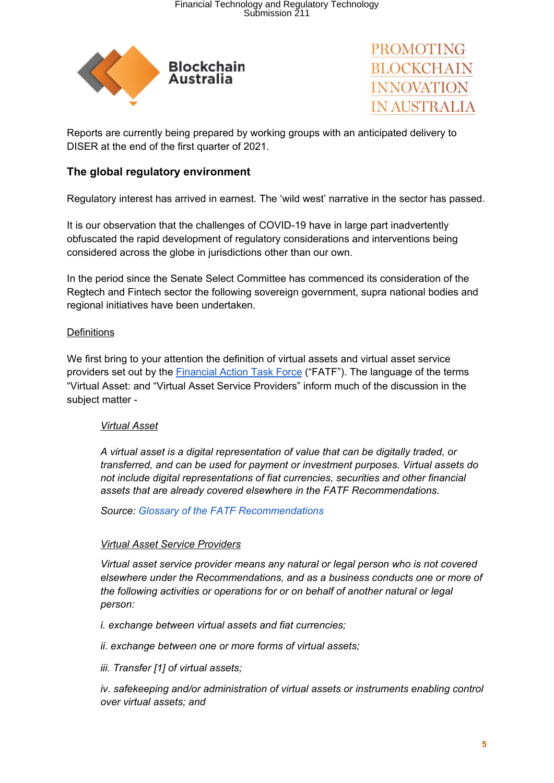



Reports are currently being prepared by working groups with an anticipated delivery to DISER at the end of the first quarter of 2021.

## **The global regulatory environment**

Regulatory interest has arrived in earnest. The 'wild west' narrative in the sector has passed.

It is our observation that the challenges of COVID-19 have in large part inadvertently obfuscated the rapid development of regulatory considerations and interventions being considered across the globe in jurisdictions other than our own.

In the period since the Senate Select Committee has commenced its consideration of the Regtech and Fintech sector the following sovereign government, supra national bodies and regional initiatives have been undertaken.

#### **Definitions**

We first bring to your attention the definition of virtual assets and virtual asset service providers set out by the **[Financial](https://www.fatf-gafi.org/) Action Task Force** ("FATF"). The language of the terms "Virtual Asset: and "Virtual Asset Service Providers" inform much of the discussion in the subject matter -

#### *Virtual Asset*

*A virtual asset is a digital representation of value that can be digitally traded, or transferred, and can be used for payment or investment purposes. Virtual assets do not include digital representations of fiat currencies, securities and other financial assets that are already covered elsewhere in the FATF Recommendations.*

*Source: Glossary of the FATF [Recommendations](https://www.fatf-gafi.org/publications/fatfrecommendations/documents/internationalstandardsoncombatingmoneylaunderingandthefinancingofterrorismproliferation-thefatfrecommendations.html)*

#### *Virtual Asset Service Providers*

*Virtual asset service provider means any natural or legal person who is not covered elsewhere under the Recommendations, and as a business conducts one or more of the following activities or operations for or on behalf of another natural or legal person:*

*i. exchange between virtual assets and fiat currencies;*

*ii. exchange between one or more forms of virtual assets;*

*iii. Transfer [[1\]](https://www.fatf-gafi.org/glossary/u-z/#one) of virtual assets;*

*iv. safekeeping and/or administration of virtual assets or instruments enabling control over virtual assets; and*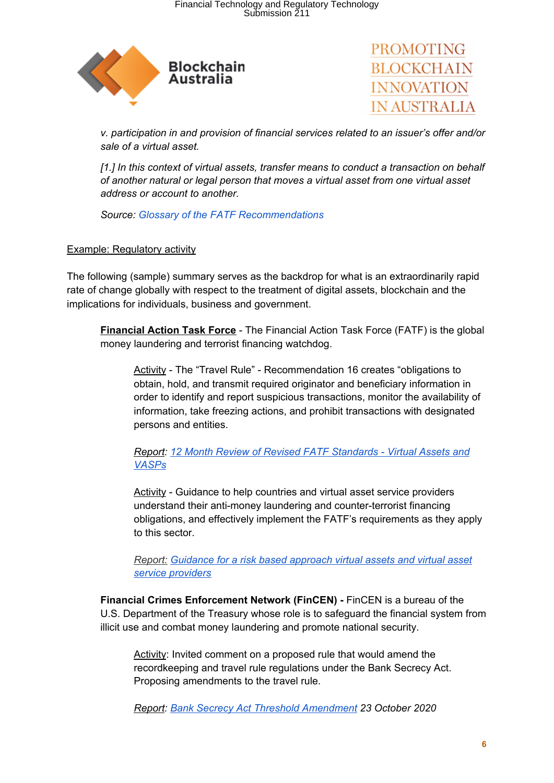



*v. participation in and provision of financial services related to an issuer's offer and/or sale of a virtual asset.*

*[1.] In this context of virtual assets, transfer means to conduct a transaction on behalf of another natural or legal person that moves a virtual asset from one virtual asset address or account to another.*

*Source: Glossary of the FATF [Recommendations](https://www.fatf-gafi.org/publications/fatfrecommendations/documents/internationalstandardsoncombatingmoneylaunderingandthefinancingofterrorismproliferation-thefatfrecommendations.html)*

### Example: Regulatory activity

The following (sample) summary serves as the backdrop for what is an extraordinarily rapid rate of change globally with respect to the treatment of digital assets, blockchain and the implications for individuals, business and government.

**Financial Action Task Force** - The Financial Action Task Force (FATF) is the global money laundering and terrorist financing watchdog.

Activity - The "Travel Rule" - Recommendation 16 creates "obligations to obtain, hold, and transmit required originator and beneficiary information in order to identify and report suspicious transactions, monitor the availability of information, take freezing actions, and prohibit transactions with designated persons and entities.

*Report: 12 Month Review of Revised FATF [Standards](http://www.fatf-gafi.org/publications/fatfrecommendations/documents/12-month-review-virtual-assets-vasps.html) - Virtual Assets and [VASPs](http://www.fatf-gafi.org/publications/fatfrecommendations/documents/12-month-review-virtual-assets-vasps.html)*

Activity - Guidance to help countries and virtual asset service providers understand their anti-money laundering and counter-terrorist financing obligations, and effectively implement the FATF's requirements as they apply to this sector.

*Report: [Guidance](http://www.fatf-gafi.org/publications/fatfrecommendations/documents/guidance-rba-virtual-assets.html) for a risk based approach virtual assets and virtual asset service [providers](http://www.fatf-gafi.org/publications/fatfrecommendations/documents/guidance-rba-virtual-assets.html)*

**Financial Crimes Enforcement Network (FinCEN) -** FinCEN is a bureau of the U.S. Department of the Treasury whose role is to safeguard the financial system from illicit use and combat money laundering and promote national security.

Activity: Invited comment on a proposed rule that would amend the recordkeeping and travel rule regulations under the Bank Secrecy Act. Proposing amendments to the travel rule.

*Report: Bank Secrecy Act Threshold [Amendment](https://www.fincen.gov/news/news-releases/agencies-invite-comment-proposed-rule-under-bank-secrecy-act#:~:text=Under%20the%20current%20recordkeeping%20and,to%20%24250%20for%20international%20transactions) 23 October 2020*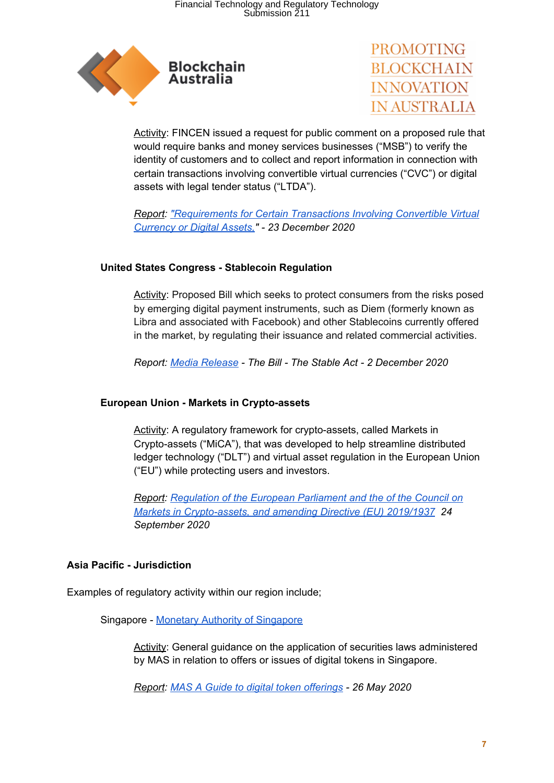



Activity: FINCEN issued a request for public comment on a proposed rule that would require banks and money services businesses ("MSB") to verify the identity of customers and to collect and report information in connection with certain transactions involving convertible virtual currencies ("CVC") or digital assets with legal tender status ("LTDA").

*Report: ["Requirements](https://public-inspection.federalregister.gov/2020-28437.pdf) for Certain Transactions Involving Convertible Virtual [Currency](https://public-inspection.federalregister.gov/2020-28437.pdf) or Digital Assets," - 23 December 2020*

### **United States Congress - Stablecoin Regulation**

Activity: Proposed Bill which seeks to protect consumers from the risks posed by emerging digital payment instruments, such as Diem (formerly known as Libra and associated with Facebook) and other Stablecoins currently offered in the market, by regulating their issuance and related commercial activities.

*Report: Media [Release](https://tlaib.house.gov/media/press-releases/tlaib-garcia-and-lynch-stableact) - The Bill - The Stable Act - 2 December 2020*

### **European Union - Markets in Crypto-assets**

Activity: A regulatory framework for crypto-assets, called [Markets](https://ec.europa.eu/finance/docs/law/200924-crypto-assets-proposal_en.pdf) in [Crypto-assets](https://ec.europa.eu/finance/docs/law/200924-crypto-assets-proposal_en.pdf) ("MiCA"), that was developed to help streamline distributed ledger technology ("DLT") and virtual asset regulation in the European Union ("EU") while protecting users and investors.

*Report: [Regulation](https://eur-lex.europa.eu/legal-content/EN/TXT/?uri=CELEX%3A52020PC0593) of the European Parliament and the of the Council on Markets in [Crypto-assets,](https://eur-lex.europa.eu/legal-content/EN/TXT/?uri=CELEX%3A52020PC0593) and amending Directive (EU) 2019/1937 24 September 2020*

### **Asia Pacific - Jurisdiction**

Examples of regulatory activity within our region include;

Singapore - Monetary Authority of [Singapore](https://www.mas.gov.sg/)

Activity: General guidance on the application of securities laws administered by MAS in relation to offers or issues of digital tokens in Singapore.

*Report: MAS A Guide to digital token [offerings](https://www.mas.gov.sg/~/media/MAS/News%20and%20Publications/Monographs%20and%20Information%20Papers/Guide%20to%20Digital%20Token%20Offerings%20last%20updated%20on%2030%20Nov.pdf) - 26 May 2020*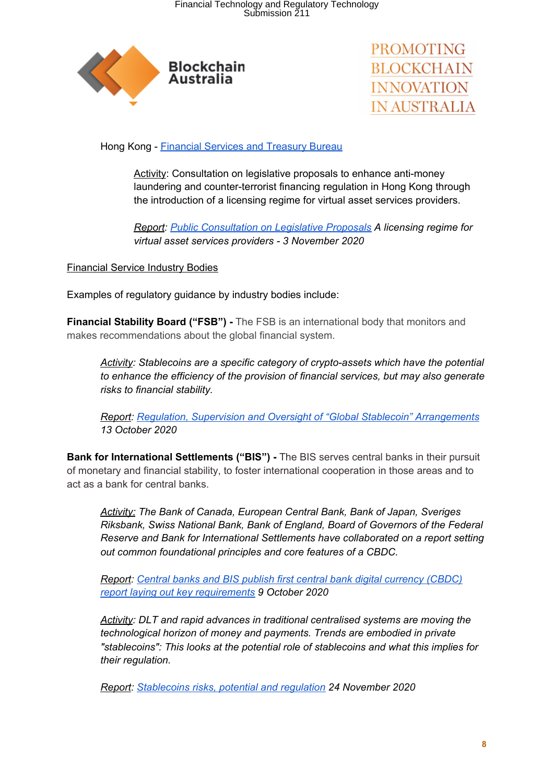



Hong Kong - [Financial](https://www.fstb.gov.hk/) Services and Treasury Bureau

Activity: Consultation on legislative proposals to enhance anti-money laundering and counter-terrorist financing regulation in Hong Kong through the introduction of a licensing regime for virtual asset services providers.

*Report: Public [Consultation](https://www.fstb.gov.hk/fsb/ppr/consult/doc/consult_amlo_e.pdf) on Legislative Proposals A licensing regime for virtual asset services providers - 3 November 2020*

Financial Service Industry Bodies

Examples of regulatory guidance by industry bodies include:

**Financial Stability Board ("FSB") -** The FSB is an international body that monitors and makes recommendations about the global financial system.

*Activity: Stablecoins are a specific category of crypto-assets which have the potential to enhance the efficiency of the provision of financial services, but may also generate risks to financial stability.*

*Report: Regulation, Supervision and Oversight of "Global Stablecoin" [Arrangements](https://www.fsb.org/wp-content/uploads/P131020-3.pdf) 13 October 2020*

**Bank for International Settlements ("BIS") -** The BIS serves central banks in their pursuit of monetary and financial stability, to foster international cooperation in those areas and to act as a bank for central banks.

*Activity: The Bank of Canada, European Central Bank, Bank of Japan, Sveriges Riksbank, Swiss National Bank, Bank of England, Board of Governors of the Federal Reserve and Bank for International Settlements have collaborated on a report setting out common foundational principles and core features of a CBDC.*

*Report: Central banks and BIS publish first central bank digital [currency](https://www.bis.org/publ/othp33.htm) (CBDC) report laying out key [requirements](https://www.bis.org/publ/othp33.htm) 9 October 2020*

*Activity: DLT and rapid advances in traditional centralised systems are moving the technological horizon of money and payments. Trends are embodied in private "stablecoins": This looks at the potential role of stablecoins and what this implies for their regulation.*

*Report: [Stablecoins](https://www.bis.org/publ/work905.htm) risks, potential and regulation 24 November 2020*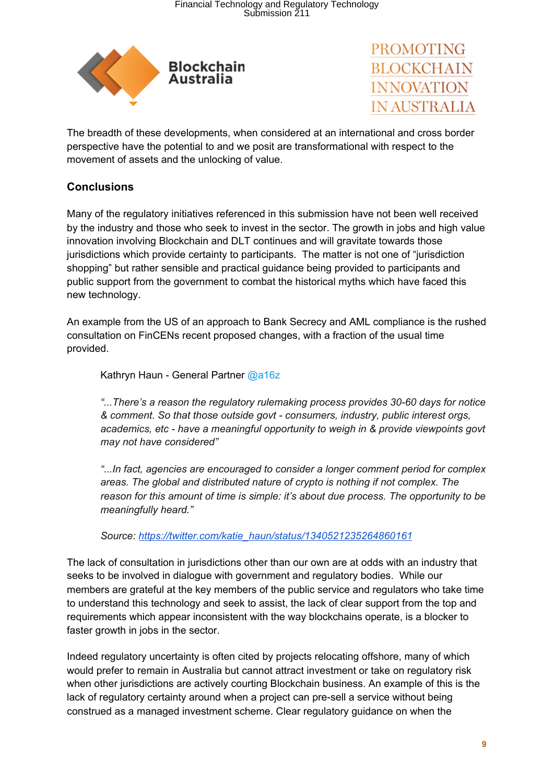



The breadth of these developments, when considered at an international and cross border perspective have the potential to and we posit are transformational with respect to the movement of assets and the unlocking of value.

# **Conclusions**

Many of the regulatory initiatives referenced in this submission have not been well received by the industry and those who seek to invest in the sector. The growth in jobs and high value innovation involving Blockchain and DLT continues and will gravitate towards those jurisdictions which provide certainty to participants. The matter is not one of "jurisdiction shopping" but rather sensible and practical guidance being provided to participants and public support from the government to combat the historical myths which have faced this new technology.

An example from the US of an approach to Bank Secrecy and AML compliance is the rushed consultation on FinCENs recent proposed changes, with a fraction of the usual time provided.

Kathryn Haun - General Partne[r](https://twitter.com/a16z) [@a16z](https://twitter.com/a16z)

*"...There's a reason the regulatory rulemaking process provides 30-60 days for notice & comment. So that those outside govt - consumers, industry, public interest orgs, academics, etc - have a meaningful opportunity to weigh in & provide viewpoints govt may not have considered"*

*"...In fact, agencies are encouraged to consider a longer comment period for complex areas. The global and distributed nature of crypto is nothing if not complex. The reason for this amount of time is simple: it's about due process. The opportunity to be meaningfully heard."*

*Source: [https://twitter.com/katie\\_haun/status/1340521235264860161](https://twitter.com/katie_haun/status/1340521235264860161)*

The lack of consultation in jurisdictions other than our own are at odds with an industry that seeks to be involved in dialogue with government and regulatory bodies. While our members are grateful at the key members of the public service and regulators who take time to understand this technology and seek to assist, the lack of clear support from the top and requirements which appear inconsistent with the way blockchains operate, is a blocker to faster growth in jobs in the sector.

Indeed regulatory uncertainty is often cited by projects relocating offshore, many of which would prefer to remain in Australia but cannot attract investment or take on regulatory risk when other jurisdictions are actively courting Blockchain business. An example of this is the lack of regulatory certainty around when a project can pre-sell a service without being construed as a managed investment scheme. Clear regulatory guidance on when the